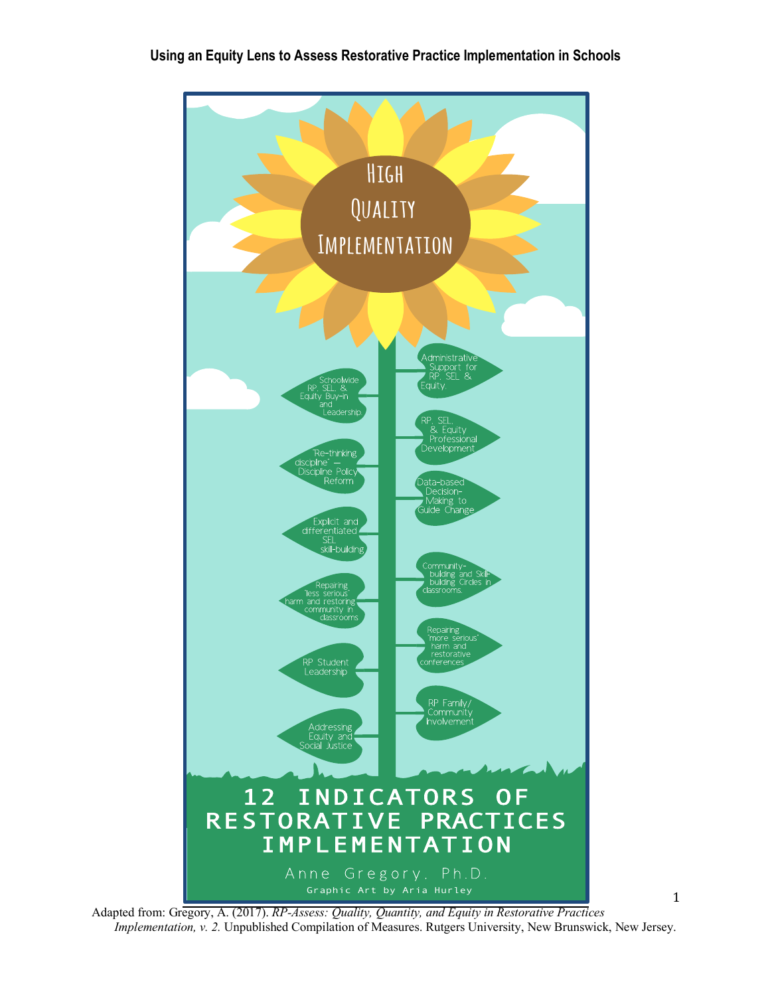## **Using an Equity Lens to Assess Restorative Practice Implementation in Schools**



Adapted from: Gregory, A. (2017). *RP-Assess: Quality, Quantity, and Equity in Restorative Practices Implementation, v. 2.* Unpublished Compilation of Measures. Rutgers University, New Brunswick, New Jersey.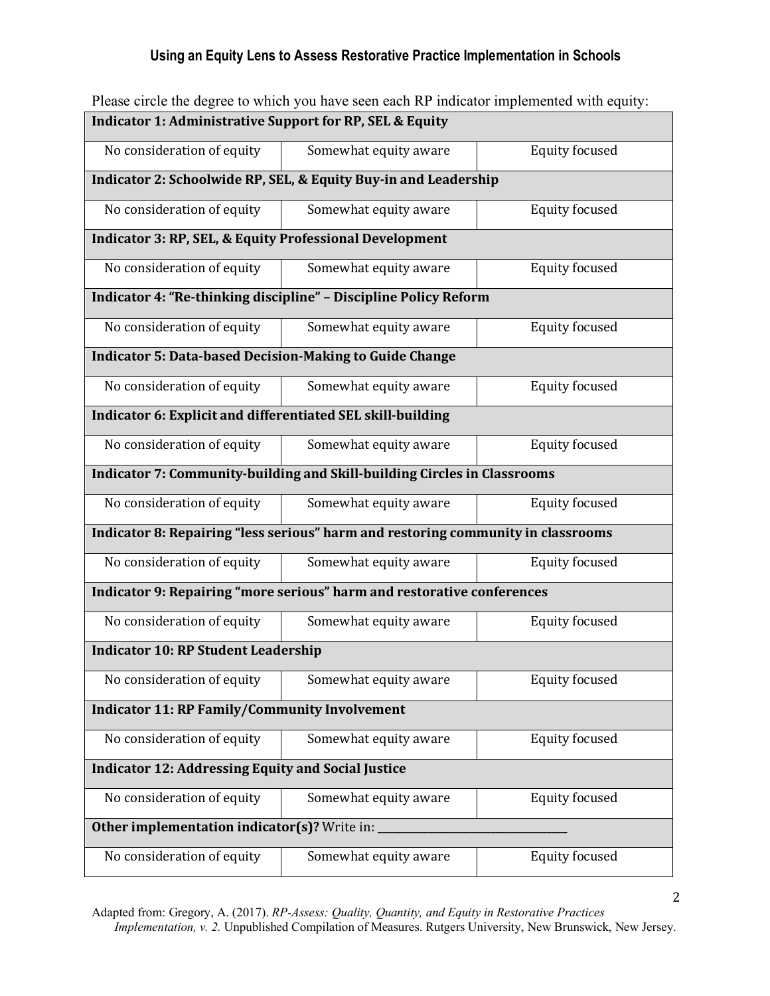# **Using an Equity Lens to Assess Restorative Practice Implementation in Schools**

| I Rase Chere the acquee to which you have seen caen is "indicator impremented with equity. |                       |                       |
|--------------------------------------------------------------------------------------------|-----------------------|-----------------------|
| Indicator 1: Administrative Support for RP, SEL & Equity                                   |                       |                       |
| No consideration of equity                                                                 | Somewhat equity aware | <b>Equity focused</b> |
| Indicator 2: Schoolwide RP, SEL, & Equity Buy-in and Leadership                            |                       |                       |
| No consideration of equity                                                                 | Somewhat equity aware | <b>Equity focused</b> |
| <b>Indicator 3: RP, SEL, &amp; Equity Professional Development</b>                         |                       |                       |
| No consideration of equity                                                                 | Somewhat equity aware | <b>Equity focused</b> |
| Indicator 4: "Re-thinking discipline" - Discipline Policy Reform                           |                       |                       |
| No consideration of equity                                                                 | Somewhat equity aware | <b>Equity focused</b> |
| <b>Indicator 5: Data-based Decision-Making to Guide Change</b>                             |                       |                       |
| No consideration of equity                                                                 | Somewhat equity aware | <b>Equity focused</b> |
| Indicator 6: Explicit and differentiated SEL skill-building                                |                       |                       |
| No consideration of equity                                                                 | Somewhat equity aware | <b>Equity focused</b> |
| Indicator 7: Community-building and Skill-building Circles in Classrooms                   |                       |                       |
| No consideration of equity                                                                 | Somewhat equity aware | <b>Equity focused</b> |
| Indicator 8: Repairing "less serious" harm and restoring community in classrooms           |                       |                       |
| No consideration of equity                                                                 | Somewhat equity aware | <b>Equity focused</b> |
| Indicator 9: Repairing "more serious" harm and restorative conferences                     |                       |                       |
| No consideration of equity                                                                 | Somewhat equity aware | <b>Equity focused</b> |
| <b>Indicator 10: RP Student Leadership</b>                                                 |                       |                       |
| No consideration of equity                                                                 | Somewhat equity aware | <b>Equity focused</b> |
| <b>Indicator 11: RP Family/Community Involvement</b>                                       |                       |                       |
| No consideration of equity                                                                 | Somewhat equity aware | <b>Equity focused</b> |
| <b>Indicator 12: Addressing Equity and Social Justice</b>                                  |                       |                       |
| No consideration of equity                                                                 | Somewhat equity aware | <b>Equity focused</b> |
| Other implementation indicator(s)? Write in: _                                             |                       |                       |
| No consideration of equity                                                                 | Somewhat equity aware | <b>Equity focused</b> |

Please circle the degree to which you have seen each RP indicator implemented with equity:

Adapted from: Gregory, A. (2017). *RP-Assess: Quality, Quantity, and Equity in Restorative Practices Implementation, v. 2.* Unpublished Compilation of Measures. Rutgers University, New Brunswick, New Jersey.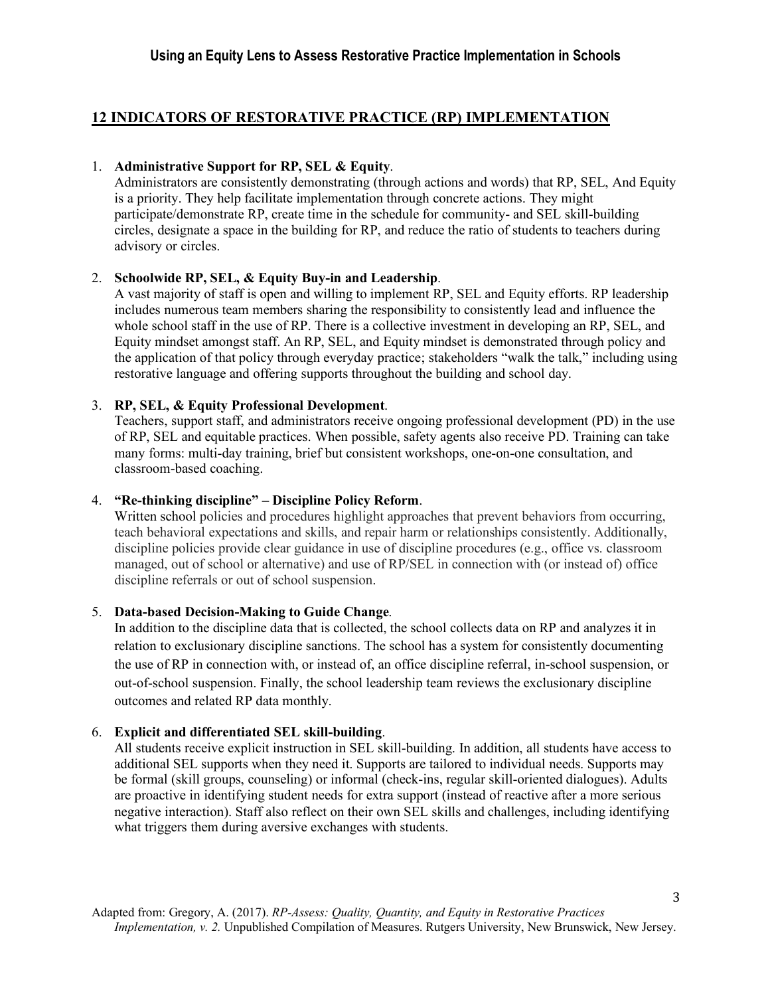# **12 INDICATORS OF RESTORATIVE PRACTICE (RP) IMPLEMENTATION**

## 1. **Administrative Support for RP, SEL & Equity**.

Administrators are consistently demonstrating (through actions and words) that RP, SEL, And Equity is a priority. They help facilitate implementation through concrete actions. They might participate/demonstrate RP, create time in the schedule for community- and SEL skill-building circles, designate a space in the building for RP, and reduce the ratio of students to teachers during advisory or circles.

## 2. **Schoolwide RP, SEL, & Equity Buy-in and Leadership**.

A vast majority of staff is open and willing to implement RP, SEL and Equity efforts. RP leadership includes numerous team members sharing the responsibility to consistently lead and influence the whole school staff in the use of RP. There is a collective investment in developing an RP, SEL, and Equity mindset amongst staff. An RP, SEL, and Equity mindset is demonstrated through policy and the application of that policy through everyday practice; stakeholders "walk the talk," including using restorative language and offering supports throughout the building and school day.

## 3. **RP, SEL, & Equity Professional Development**.

Teachers, support staff, and administrators receive ongoing professional development (PD) in the use of RP, SEL and equitable practices. When possible, safety agents also receive PD. Training can take many forms: multi-day training, brief but consistent workshops, one-on-one consultation, and classroom-based coaching.

## 4. **"Re-thinking discipline" – Discipline Policy Reform**.

Written school policies and procedures highlight approaches that prevent behaviors from occurring, teach behavioral expectations and skills, and repair harm or relationships consistently. Additionally, discipline policies provide clear guidance in use of discipline procedures (e.g., office vs. classroom managed, out of school or alternative) and use of RP/SEL in connection with (or instead of) office discipline referrals or out of school suspension.

## 5. **Data-based Decision-Making to Guide Change**.

In addition to the discipline data that is collected, the school collects data on RP and analyzes it in relation to exclusionary discipline sanctions. The school has a system for consistently documenting the use of RP in connection with, or instead of, an office discipline referral, in-school suspension, or out-of-school suspension. Finally, the school leadership team reviews the exclusionary discipline outcomes and related RP data monthly.

#### 6. **Explicit and differentiated SEL skill-building**.

All students receive explicit instruction in SEL skill-building. In addition, all students have access to additional SEL supports when they need it. Supports are tailored to individual needs. Supports may be formal (skill groups, counseling) or informal (check-ins, regular skill-oriented dialogues). Adults are proactive in identifying student needs for extra support (instead of reactive after a more serious negative interaction). Staff also reflect on their own SEL skills and challenges, including identifying what triggers them during aversive exchanges with students.

3